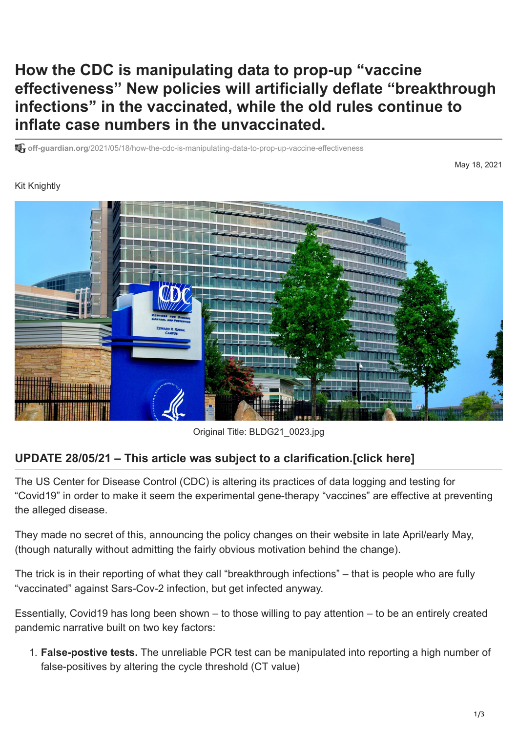## **How the CDC is manipulating data to prop-up "vaccine effectiveness" New policies will artificially deflate "breakthrough infections" in the vaccinated, while the old rules continue to inflate case numbers in the unvaccinated.**

**off-guardian.org**[/2021/05/18/how-the-cdc-is-manipulating-data-to-prop-up-vaccine-effectiveness](https://off-guardian.org/2021/05/18/how-the-cdc-is-manipulating-data-to-prop-up-vaccine-effectiveness/#clar)

## Kit Knightly

May 18, 2021



Original Title: BLDG21\_0023.jpg

## **UPDATE 28/05/21 – This article was subject to a clarification.[[click here\]](#page-2-0)**

The US Center for Disease Control (CDC) is altering its practices of data logging and testing for "Covid19" in order to make it seem the experimental gene-therapy "vaccines" are effective at preventing the alleged disease.

They made no secret of this, announcing the policy changes on their website in late April/early May, (though naturally without admitting the fairly obvious motivation behind the change).

The trick is in their reporting of what they call "breakthrough infections" – that is people who are fully "vaccinated" against Sars-Cov-2 infection, but get infected anyway.

Essentially, Covid19 has long been shown – to those willing to pay attention – to be an entirely created pandemic narrative built on two key factors:

1. **False-postive tests.** [The u](https://off-guardian.org/2021/03/27/making-something-out-of-nothing-pcr-tests-ct-values-and-false-positives/)[nreliable PCR tes](https://off-guardian.org/2020/06/27/covid19-pcr-tests-are-scientifically-meaningless/)[t can be manipulated into reporting a high number of](https://off-guardian.org/2021/03/27/making-something-out-of-nothing-pcr-tests-ct-values-and-false-positives/) false-positives by altering the cycle threshold (CT value)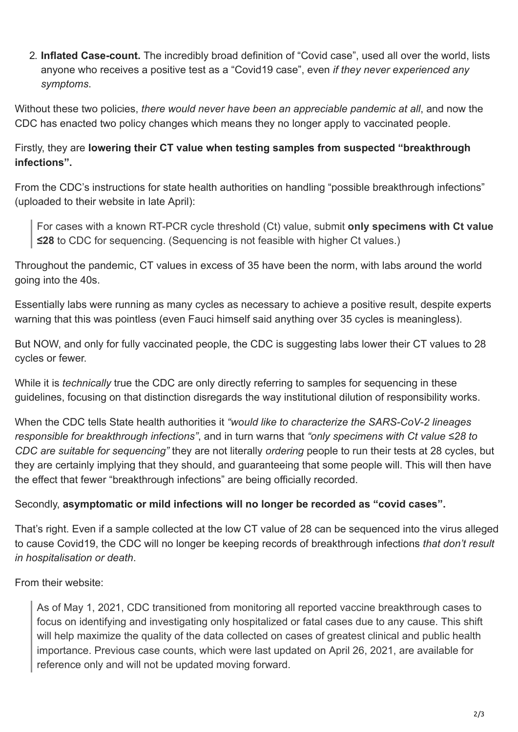2. **Inflated Case-count.** The incredibly [broad definition](https://www.ecdc.europa.eu/en/covid-19/surveillance/case-definition) of "Covid case", used all over the world, lists anyone who receives a positive test as a "Covid19 case", even *if they never experienced any symptoms*.

Without these two policies, *there would never have been an appreciable pandemic at all*, and now the CDC has enacted two policy changes which means they no longer apply to vaccinated people.

Firstly, they are **lowering their CT value when testing samples from suspected "breakthrough infections".**

From the CDC's instructions for state health authorities on handling "possible breakthrough infections" (uploaded to their website in late April):

For cases with a known RT-PCR cycle threshold (Ct) value, submit **only specimens with Ct value ≤28** to CDC for sequencing. (Sequencing is not feasible with higher Ct values.)

Throughout the pandemic, CT values in excess of 35 have been the norm, with labs around the world going into the 40s.

Essentially labs were running as many cycles as necessary to achieve a positive result, despite experts warning that this was pointless (even [Fauci himself](https://archive.is/7fqu3) said anything over 35 cycles is meaningless).

But NOW, and only for fully vaccinated people, the CDC is suggesting labs lower their CT values to 28 cycles or fewer.

While it is *technically* true the CDC are only directly referring to samples for sequencing in these guidelines, focusing on that distinction disregards the way institutional dilution of responsibility works.

When the CDC tells State health authorities it *"would like to characterize the SARS-CoV-2 lineages responsible for breakthrough infections"*, and in turn warns that *"only specimens with Ct value ≤28 to CDC are suitable for sequencing"* they are not literally *ordering* people to run their tests at 28 cycles, but they are certainly implying that they should, and guaranteeing that some people will. This will then have the effect that fewer "breakthrough infections" are being officially recorded.

## Secondly, **asymptomatic or mild infections will no longer be recorded as "covid cases".**

That's right. Even if a sample collected at the low CT value of 28 can be sequenced into the virus alleged to cause Covid19, the CDC will no longer be keeping records of breakthrough infections *that don't result in hospitalisation or death*.

From their [website:](https://www.cdc.gov/vaccines/covid-19/health-departments/breakthrough-cases.html)

As of May 1, 2021, CDC transitioned from monitoring all reported vaccine breakthrough cases to focus on identifying and investigating only hospitalized or fatal cases due to any cause. This shift will help maximize the quality of the data collected on cases of greatest clinical and public health importance. Previous case counts, which were last updated on April 26, 2021, are available for reference only and will not be updated moving forward.